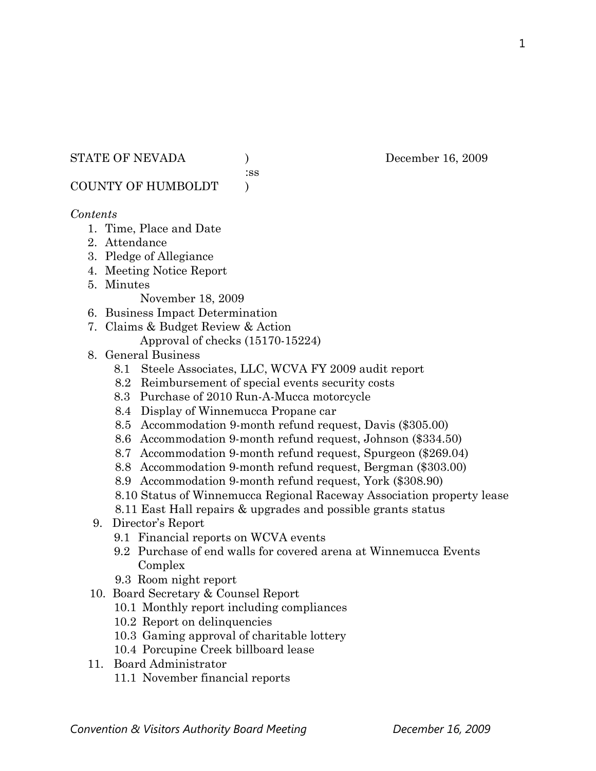STATE OF NEVADA (a) December 16, 2009

:ss

COUNTY OF HUMBOLDT )

### *Contents*

- 1. Time, Place and Date
- 2. Attendance
- 3. Pledge of Allegiance
- 4. Meeting Notice Report
- 5. Minutes

November 18, 2009

- 6. Business Impact Determination
- 7. Claims & Budget Review & Action
	- Approval of checks (15170-15224)
- 8. General Business
	- 8.1 Steele Associates, LLC, WCVA FY 2009 audit report
	- 8.2 Reimbursement of special events security costs
	- 8.3 Purchase of 2010 Run-A-Mucca motorcycle
	- 8.4 Display of Winnemucca Propane car
	- 8.5 Accommodation 9-month refund request, Davis (\$305.00)
	- 8.6 Accommodation 9-month refund request, Johnson (\$334.50)
	- 8.7 Accommodation 9-month refund request, Spurgeon (\$269.04)
	- 8.8 Accommodation 9-month refund request, Bergman (\$303.00)
	- 8.9 Accommodation 9-month refund request, York (\$308.90)
	- 8.10 Status of Winnemucca Regional Raceway Association property lease
	- 8.11 East Hall repairs & upgrades and possible grants status
- 9. Director's Report
	- 9.1 Financial reports on WCVA events
	- 9.2 Purchase of end walls for covered arena at Winnemucca Events Complex
	- 9.3 Room night report
- 10. Board Secretary & Counsel Report
	- 10.1 Monthly report including compliances
	- 10.2 Report on delinquencies
	- 10.3 Gaming approval of charitable lottery
	- 10.4 Porcupine Creek billboard lease
- 11. Board Administrator
	- 11.1 November financial reports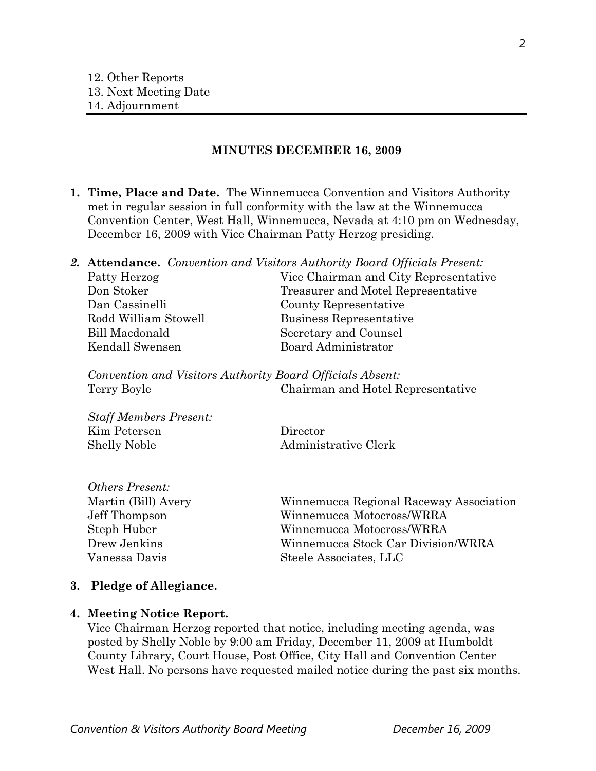#### **MINUTES DECEMBER 16, 2009**

- **1. Time, Place and Date.** The Winnemucca Convention and Visitors Authority met in regular session in full conformity with the law at the Winnemucca Convention Center, West Hall, Winnemucca, Nevada at 4:10 pm on Wednesday, December 16, 2009 with Vice Chairman Patty Herzog presiding.
- *2.* **Attendance.** *Convention and Visitors Authority Board Officials Present:*

| Patty Herzog         | Vice Chairman and City Representative |
|----------------------|---------------------------------------|
| Don Stoker           | Treasurer and Motel Representative    |
| Dan Cassinelli       | County Representative                 |
| Rodd William Stowell | Business Representative               |
| Bill Macdonald       | Secretary and Counsel                 |
| Kendall Swensen      | Board Administrator                   |
|                      |                                       |

*Convention and Visitors Authority Board Officials Absent:*  Terry Boyle Chairman and Hotel Representative

*Staff Members Present:*  Kim Petersen Director Shelly Noble Administrative Clerk

*Others Present:* 

| Winnemucca Regional Raceway Association |
|-----------------------------------------|
| Winnemucca Motocross/WRRA               |
| Winnemucca Motocross/WRRA               |
| Winnemucca Stock Car Division/WRRA      |
| Steele Associates, LLC                  |
|                                         |

#### **3. Pledge of Allegiance.**

#### **4. Meeting Notice Report.**

Vice Chairman Herzog reported that notice, including meeting agenda, was posted by Shelly Noble by 9:00 am Friday, December 11, 2009 at Humboldt County Library, Court House, Post Office, City Hall and Convention Center West Hall. No persons have requested mailed notice during the past six months.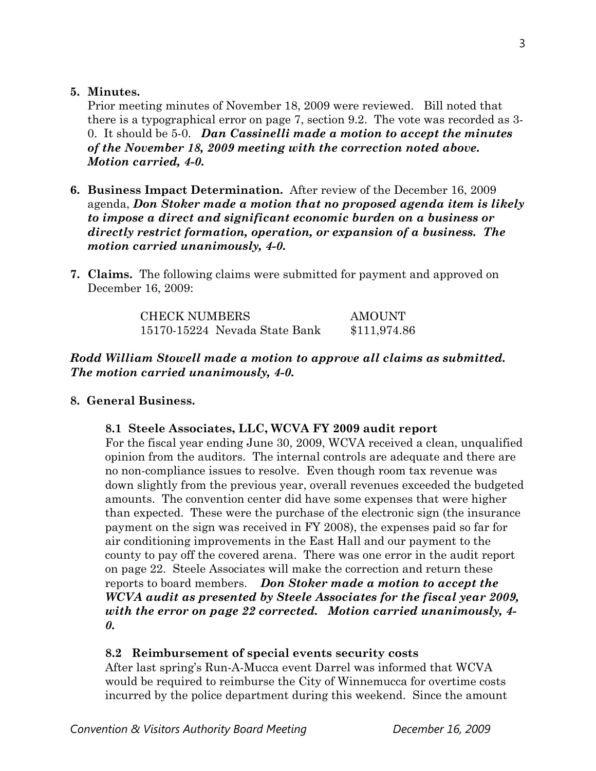### **5. Minutes.**

Prior meeting minutes of November 18, 2009 were reviewed. Bill noted that there is a typographical error on page 7, section 9.2. The vote was recorded as 3- 0. It should be 5-0. *Dan Cassinelli made a motion to accept the minutes of the November 18, 2009 meeting with the correction noted above. Motion carried, 4-0.* 

- **6. Business Impact Determination.** After review of the December 16, 2009 agenda, *Don Stoker made a motion that no proposed agenda item is likely to impose a direct and significant economic burden on a business or directly restrict formation, operation, or expansion of a business. The motion carried unanimously, 4-0.*
- **7. Claims.** The following claims were submitted for payment and approved on December 16, 2009:

| <b>CHECK NUMBERS</b>          | AMOUNT       |
|-------------------------------|--------------|
| 15170-15224 Nevada State Bank | \$111,974.86 |

# *Rodd William Stowell made a motion to approve all claims as submitted. The motion carried unanimously, 4-0.*

## **8. General Business.**

## **8.1 Steele Associates, LLC, WCVA FY 2009 audit report**

For the fiscal year ending June 30, 2009, WCVA received a clean, unqualified opinion from the auditors. The internal controls are adequate and there are no non-compliance issues to resolve. Even though room tax revenue was down slightly from the previous year, overall revenues exceeded the budgeted amounts. The convention center did have some expenses that were higher than expected. These were the purchase of the electronic sign (the insurance payment on the sign was received in FY 2008), the expenses paid so far for air conditioning improvements in the East Hall and our payment to the county to pay off the covered arena. There was one error in the audit report on page 22. Steele Associates will make the correction and return these reports to board members. *Don Stoker made a motion to accept the WCVA audit as presented by Steele Associates for the fiscal year 2009, with the error on page 22 corrected. Motion carried unanimously, 4- 0.* 

## **8.2 Reimbursement of special events security costs**

After last spring's Run-A-Mucca event Darrel was informed that WCVA would be required to reimburse the City of Winnemucca for overtime costs incurred by the police department during this weekend. Since the amount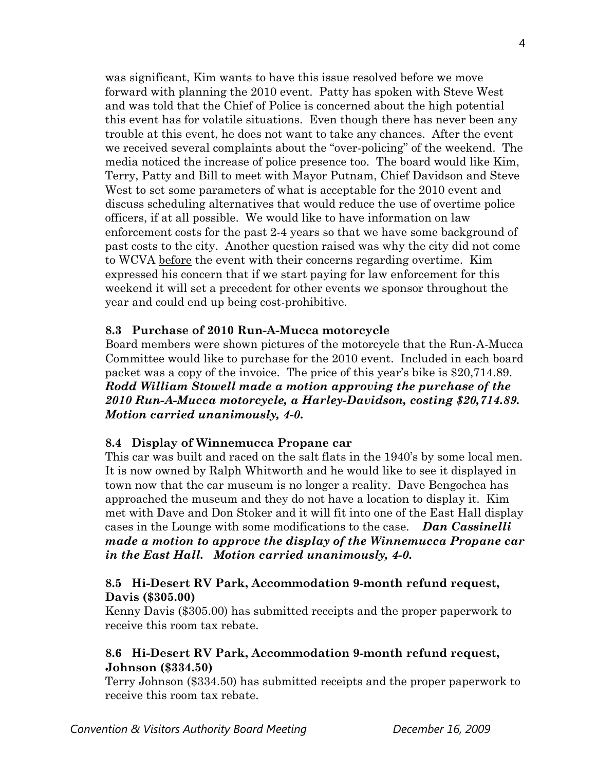was significant, Kim wants to have this issue resolved before we move forward with planning the 2010 event. Patty has spoken with Steve West and was told that the Chief of Police is concerned about the high potential this event has for volatile situations. Even though there has never been any trouble at this event, he does not want to take any chances. After the event we received several complaints about the "over-policing" of the weekend. The media noticed the increase of police presence too. The board would like Kim, Terry, Patty and Bill to meet with Mayor Putnam, Chief Davidson and Steve West to set some parameters of what is acceptable for the 2010 event and discuss scheduling alternatives that would reduce the use of overtime police officers, if at all possible. We would like to have information on law enforcement costs for the past 2-4 years so that we have some background of past costs to the city. Another question raised was why the city did not come to WCVA before the event with their concerns regarding overtime. Kim expressed his concern that if we start paying for law enforcement for this weekend it will set a precedent for other events we sponsor throughout the year and could end up being cost-prohibitive.

## **8.3 Purchase of 2010 Run-A-Mucca motorcycle**

Board members were shown pictures of the motorcycle that the Run-A-Mucca Committee would like to purchase for the 2010 event. Included in each board packet was a copy of the invoice. The price of this year's bike is \$20,714.89. *Rodd William Stowell made a motion approving the purchase of the 2010 Run-A-Mucca motorcycle, a Harley-Davidson, costing \$20,714.89. Motion carried unanimously, 4-0.* 

#### **8.4 Display of Winnemucca Propane car**

This car was built and raced on the salt flats in the 1940's by some local men. It is now owned by Ralph Whitworth and he would like to see it displayed in town now that the car museum is no longer a reality. Dave Bengochea has approached the museum and they do not have a location to display it. Kim met with Dave and Don Stoker and it will fit into one of the East Hall display cases in the Lounge with some modifications to the case. *Dan Cassinelli made a motion to approve the display of the Winnemucca Propane car in the East Hall. Motion carried unanimously, 4-0.* 

## **8.5 Hi-Desert RV Park, Accommodation 9-month refund request, Davis (\$305.00)**

Kenny Davis (\$305.00) has submitted receipts and the proper paperwork to receive this room tax rebate.

## **8.6 Hi-Desert RV Park, Accommodation 9-month refund request, Johnson (\$334.50)**

Terry Johnson (\$334.50) has submitted receipts and the proper paperwork to receive this room tax rebate.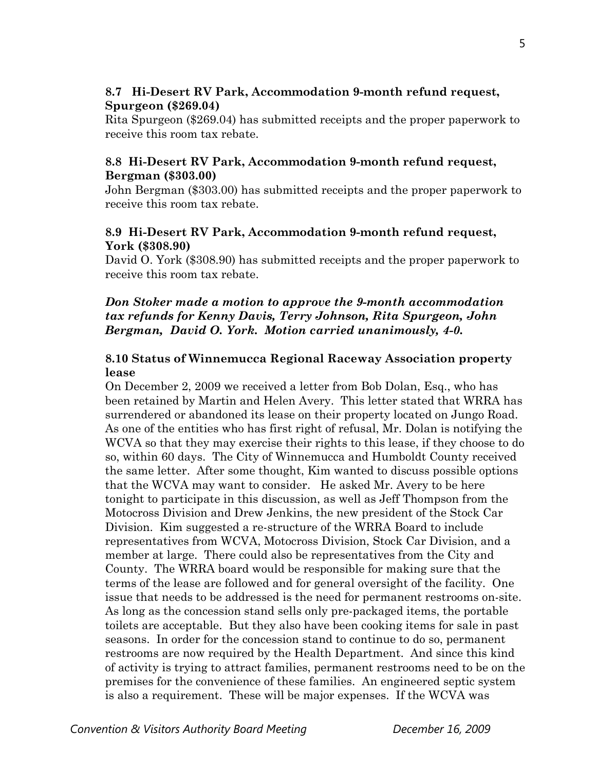## **8.7 Hi-Desert RV Park, Accommodation 9-month refund request, Spurgeon (\$269.04)**

Rita Spurgeon (\$269.04) has submitted receipts and the proper paperwork to receive this room tax rebate.

## **8.8 Hi-Desert RV Park, Accommodation 9-month refund request, Bergman (\$303.00)**

John Bergman (\$303.00) has submitted receipts and the proper paperwork to receive this room tax rebate.

## **8.9 Hi-Desert RV Park, Accommodation 9-month refund request, York (\$308.90)**

David O. York (\$308.90) has submitted receipts and the proper paperwork to receive this room tax rebate.

## *Don Stoker made a motion to approve the 9-month accommodation tax refunds for Kenny Davis, Terry Johnson, Rita Spurgeon, John Bergman, David O. York. Motion carried unanimously, 4-0.*

## **8.10 Status of Winnemucca Regional Raceway Association property lease**

On December 2, 2009 we received a letter from Bob Dolan, Esq., who has been retained by Martin and Helen Avery. This letter stated that WRRA has surrendered or abandoned its lease on their property located on Jungo Road. As one of the entities who has first right of refusal, Mr. Dolan is notifying the WCVA so that they may exercise their rights to this lease, if they choose to do so, within 60 days. The City of Winnemucca and Humboldt County received the same letter. After some thought, Kim wanted to discuss possible options that the WCVA may want to consider. He asked Mr. Avery to be here tonight to participate in this discussion, as well as Jeff Thompson from the Motocross Division and Drew Jenkins, the new president of the Stock Car Division. Kim suggested a re-structure of the WRRA Board to include representatives from WCVA, Motocross Division, Stock Car Division, and a member at large. There could also be representatives from the City and County. The WRRA board would be responsible for making sure that the terms of the lease are followed and for general oversight of the facility. One issue that needs to be addressed is the need for permanent restrooms on-site. As long as the concession stand sells only pre-packaged items, the portable toilets are acceptable. But they also have been cooking items for sale in past seasons. In order for the concession stand to continue to do so, permanent restrooms are now required by the Health Department. And since this kind of activity is trying to attract families, permanent restrooms need to be on the premises for the convenience of these families. An engineered septic system is also a requirement. These will be major expenses. If the WCVA was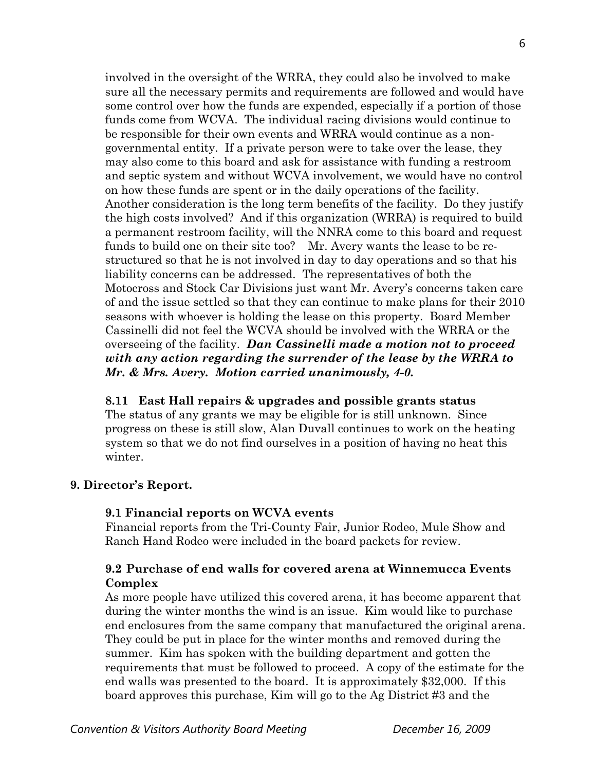involved in the oversight of the WRRA, they could also be involved to make sure all the necessary permits and requirements are followed and would have some control over how the funds are expended, especially if a portion of those funds come from WCVA. The individual racing divisions would continue to be responsible for their own events and WRRA would continue as a nongovernmental entity. If a private person were to take over the lease, they may also come to this board and ask for assistance with funding a restroom and septic system and without WCVA involvement, we would have no control on how these funds are spent or in the daily operations of the facility. Another consideration is the long term benefits of the facility. Do they justify the high costs involved? And if this organization (WRRA) is required to build a permanent restroom facility, will the NNRA come to this board and request funds to build one on their site too? Mr. Avery wants the lease to be restructured so that he is not involved in day to day operations and so that his liability concerns can be addressed. The representatives of both the Motocross and Stock Car Divisions just want Mr. Avery's concerns taken care of and the issue settled so that they can continue to make plans for their 2010 seasons with whoever is holding the lease on this property. Board Member Cassinelli did not feel the WCVA should be involved with the WRRA or the overseeing of the facility. *Dan Cassinelli made a motion not to proceed with any action regarding the surrender of the lease by the WRRA to Mr. & Mrs. Avery. Motion carried unanimously, 4-0.* 

## **8.11 East Hall repairs & upgrades and possible grants status**

The status of any grants we may be eligible for is still unknown. Since progress on these is still slow, Alan Duvall continues to work on the heating system so that we do not find ourselves in a position of having no heat this winter.

## **9. Director's Report.**

## **9.1 Financial reports on WCVA events**

Financial reports from the Tri-County Fair, Junior Rodeo, Mule Show and Ranch Hand Rodeo were included in the board packets for review.

## **9.2 Purchase of end walls for covered arena at Winnemucca Events Complex**

As more people have utilized this covered arena, it has become apparent that during the winter months the wind is an issue. Kim would like to purchase end enclosures from the same company that manufactured the original arena. They could be put in place for the winter months and removed during the summer. Kim has spoken with the building department and gotten the requirements that must be followed to proceed. A copy of the estimate for the end walls was presented to the board. It is approximately \$32,000. If this board approves this purchase, Kim will go to the Ag District #3 and the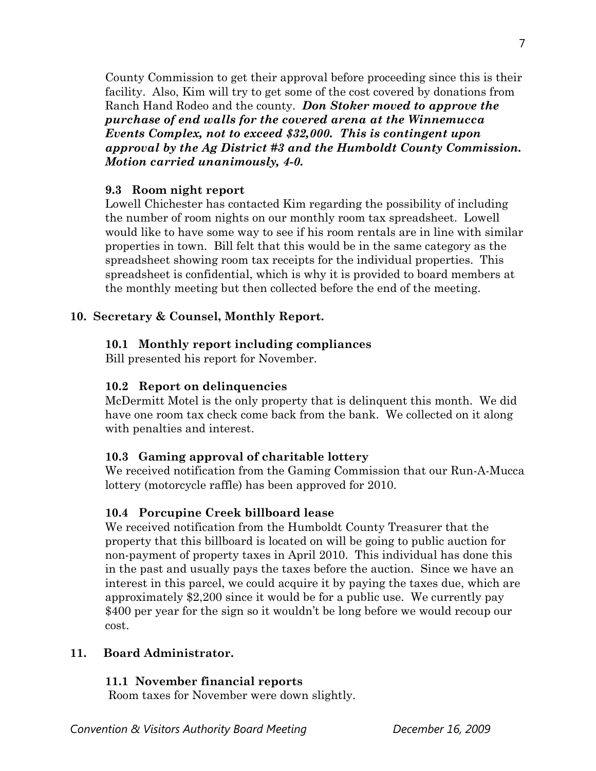County Commission to get their approval before proceeding since this is their facility. Also, Kim will try to get some of the cost covered by donations from Ranch Hand Rodeo and the county. *Don Stoker moved to approve the purchase of end walls for the covered arena at the Winnemucca Events Complex, not to exceed \$32,000. This is contingent upon approval by the Ag District #3 and the Humboldt County Commission. Motion carried unanimously, 4-0.* 

### **9.3 Room night report**

Lowell Chichester has contacted Kim regarding the possibility of including the number of room nights on our monthly room tax spreadsheet. Lowell would like to have some way to see if his room rentals are in line with similar properties in town. Bill felt that this would be in the same category as the spreadsheet showing room tax receipts for the individual properties. This spreadsheet is confidential, which is why it is provided to board members at the monthly meeting but then collected before the end of the meeting.

## **10. Secretary & Counsel, Monthly Report.**

### **10.1 Monthly report including compliances**

Bill presented his report for November.

#### **10.2 Report on delinquencies**

McDermitt Motel is the only property that is delinquent this month. We did have one room tax check come back from the bank. We collected on it along with penalties and interest.

## **10.3 Gaming approval of charitable lottery**

We received notification from the Gaming Commission that our Run-A-Mucca lottery (motorcycle raffle) has been approved for 2010.

#### **10.4 Porcupine Creek billboard lease**

We received notification from the Humboldt County Treasurer that the property that this billboard is located on will be going to public auction for non-payment of property taxes in April 2010. This individual has done this in the past and usually pays the taxes before the auction. Since we have an interest in this parcel, we could acquire it by paying the taxes due, which are approximately \$2,200 since it would be for a public use. We currently pay \$400 per year for the sign so it wouldn't be long before we would recoup our cost.

### **11. Board Administrator.**

## **11.1 November financial reports**

Room taxes for November were down slightly.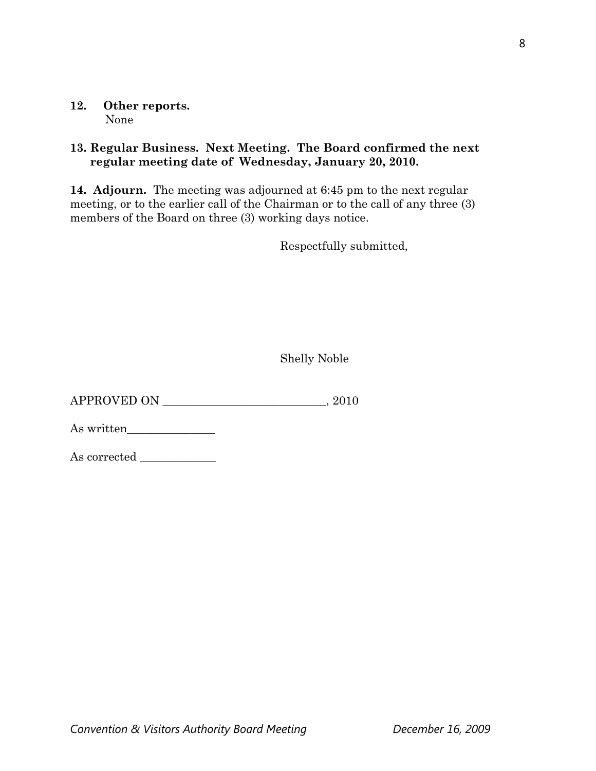#### **12. Other reports.**  None

## **13. Regular Business. Next Meeting. The Board confirmed the next regular meeting date of Wednesday, January 20, 2010.**

**14. Adjourn.** The meeting was adjourned at 6:45 pm to the next regular meeting, or to the earlier call of the Chairman or to the call of any three (3) members of the Board on three (3) working days notice.

Respectfully submitted,

Shelly Noble

APPROVED ON \_\_\_\_\_\_\_\_\_\_\_\_\_\_\_\_\_\_\_\_\_\_\_\_\_\_\_\_, 2010

As written\_\_\_\_\_\_\_\_\_\_\_\_\_\_\_

As corrected \_\_\_\_\_\_\_\_\_\_\_\_\_